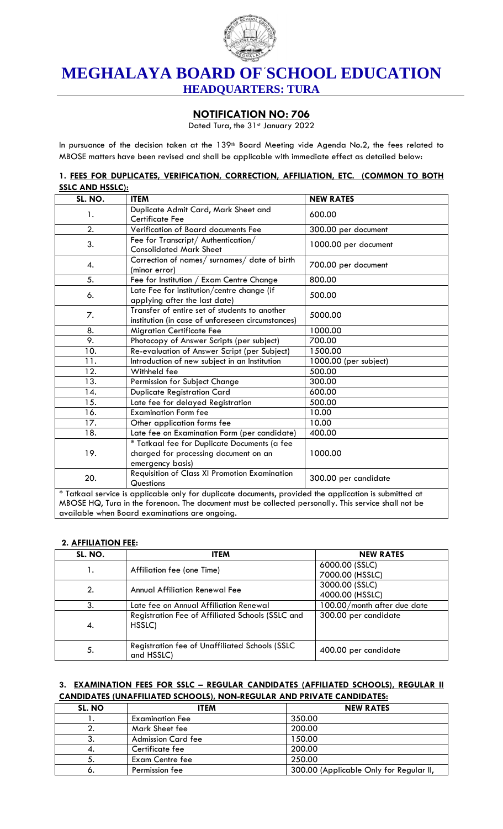

# **MEGHALAYA BOARD OF SCHOOL EDUCATION HEADQUARTERS: TURA**

# **NOTIFICATION NO: 706**

Dated Tura, the 31st January 2022

In pursuance of the decision taken at the 139<sup>th</sup> Board Meeting vide Agenda No.2, the fees related to MBOSE matters have been revised and shall be applicable with immediate effect as detailed below:

|                        | 1. FEES FOR DUPLICATES, VERIFICATION, CORRECTION, AFFILIATION, ETC. (COMMON TO BOTH |  |  |  |
|------------------------|-------------------------------------------------------------------------------------|--|--|--|
| <b>SSLC AND HSSLC:</b> |                                                                                     |  |  |  |

| SL. NO.          | <b>ITEM</b>                                                                                                                                                                                                                                                      | <b>NEW RATES</b>      |
|------------------|------------------------------------------------------------------------------------------------------------------------------------------------------------------------------------------------------------------------------------------------------------------|-----------------------|
| 1.               | Duplicate Admit Card, Mark Sheet and<br><b>Certificate Fee</b>                                                                                                                                                                                                   | 600.00                |
| $\overline{2}$ . | Verification of Board documents Fee                                                                                                                                                                                                                              | 300.00 per document   |
| 3.               | Fee for Transcript/ Authentication/<br><b>Consolidated Mark Sheet</b>                                                                                                                                                                                            | 1000.00 per document  |
| 4.               | Correction of names/ surnames/ date of birth<br>(minor error)                                                                                                                                                                                                    | 700.00 per document   |
| 5.               | Fee for Institution / Exam Centre Change                                                                                                                                                                                                                         | 800.00                |
| 6.               | Late Fee for institution/centre change (if<br>applying after the last date)                                                                                                                                                                                      | 500.00                |
| 7.               | Transfer of entire set of students to another<br>institution (in case of unforeseen circumstances)                                                                                                                                                               | 5000.00               |
| 8.               | <b>Migration Certificate Fee</b>                                                                                                                                                                                                                                 | 1000.00               |
| 9.               | Photocopy of Answer Scripts (per subject)                                                                                                                                                                                                                        | 700.00                |
| 10.              | Re-evaluation of Answer Script (per Subject)                                                                                                                                                                                                                     | 1500.00               |
| 11.              | Introduction of new subject in an Institution                                                                                                                                                                                                                    | 1000.00 (per subject) |
| 12.              | Withheld fee                                                                                                                                                                                                                                                     | 500.00                |
| 13.              | Permission for Subject Change                                                                                                                                                                                                                                    | 300.00                |
| 14.              | <b>Duplicate Registration Card</b>                                                                                                                                                                                                                               | 600.00                |
| 15.              | Late fee for delayed Registration                                                                                                                                                                                                                                | 500.00                |
| 16.              | <b>Examination Form fee</b>                                                                                                                                                                                                                                      | 10.00                 |
| 17.              | Other application forms fee                                                                                                                                                                                                                                      | 10.00                 |
| 18.              | Late fee on Examination Form (per candidate)                                                                                                                                                                                                                     | 400.00                |
| 19.              | * Tatkaal fee for Duplicate Documents (a fee<br>charged for processing document on an<br>emergency basis)                                                                                                                                                        | 1000.00               |
| 20.              | Requisition of Class XI Promotion Examination<br>Questions                                                                                                                                                                                                       | 300.00 per candidate  |
|                  | * Tatkaal service is applicable only for duplicate documents, provided the application is submitted at<br>MBOSE HQ, Tura in the forenoon. The document must be collected personally. This service shall not be<br>available when Board examinations are ongoing. |                       |

#### **2. AFFILIATION FEE:**

| SL. NO. | <b>ITEM</b>                                                         | <b>NEW RATES</b>            |
|---------|---------------------------------------------------------------------|-----------------------------|
| 1.      | Affiliation fee (one Time)                                          | 6000.00 (SSLC)              |
|         |                                                                     | 7000.00 (HSSLC)             |
| 2.      |                                                                     | 3000.00 (SSLC)              |
|         | <b>Annual Affiliation Renewal Fee</b>                               | 4000.00 (HSSLC)             |
| 3.      | Late fee on Annual Affiliation Renewal                              | 100.00/month after due date |
| 4.      | Registration Fee of Affiliated Schools (SSLC and<br>HSSLC)          | 300.00 per candidate        |
| 5.      | <b>Registration fee of Unaffiliated Schools (SSLC</b><br>and HSSLC) | 400.00 per candidate        |

#### **3. EXAMINATION FEES FOR SSLC – REGULAR CANDIDATES (AFFILIATED SCHOOLS), REGULAR II CANDIDATES (UNAFFILIATED SCHOOLS), NON-REGULAR AND PRIVATE CANDIDATES:**

| SL. NO | <b>ITEM</b>               | <b>NEW RATES</b>                        |
|--------|---------------------------|-----------------------------------------|
|        | <b>Examination Fee</b>    | 350.00                                  |
|        | Mark Sheet fee            | 200.00                                  |
| -3.    | <b>Admission Card fee</b> | 150.00                                  |
| 4.     | Certificate fee           | 200.00                                  |
| 5.     | Exam Centre fee           | 250.00                                  |
| ٥.     | Permission fee            | 300.00 (Applicable Only for Regular II, |